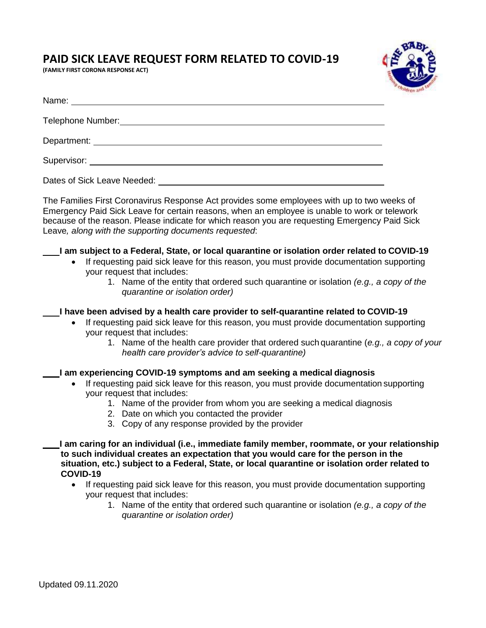## **PAID SICK LEAVE REQUEST FORM RELATED TO COVID-19**

**(FAMILY FIRST CORONA RESPONSE ACT)**



| Telephone Number:           |
|-----------------------------|
|                             |
|                             |
| Dates of Sick Leave Needed: |

The Families First Coronavirus Response Act provides some employees with up to two weeks of Emergency Paid Sick Leave for certain reasons, when an employee is unable to work or telework because of the reason. Please indicate for which reason you are requesting Emergency Paid Sick Leave*, along with the supporting documents requested*:

## **I am subject to a Federal, State, or local quarantine or isolation order related to COVID-19**

- If requesting paid sick leave for this reason, you must provide documentation supporting your request that includes:
	- 1. Name of the entity that ordered such quarantine or isolation *(e.g., a copy of the quarantine or isolation order)*

**I have been advised by a health care provider to self-quarantine related to COVID-19**

- If requesting paid sick leave for this reason, you must provide documentation supporting your request that includes:
	- 1. Name of the health care provider that ordered such quarantine (*e.g., a copy of your health care provider's advice to self-quarantine)*

## **I am experiencing COVID-19 symptoms and am seeking a medical diagnosis**

- If requesting paid sick leave for this reason, you must provide documentation supporting your request that includes:
	- 1. Name of the provider from whom you are seeking a medical diagnosis
	- 2. Date on which you contacted the provider
	- 3. Copy of any response provided by the provider

**I am caring for an individual (i.e., immediate family member, roommate, or your relationship to such individual creates an expectation that you would care for the person in the situation, etc.) subject to a Federal, State, or local quarantine or isolation order related to COVID-19**

- If requesting paid sick leave for this reason, you must provide documentation supporting your request that includes:
	- 1. Name of the entity that ordered such quarantine or isolation *(e.g., a copy of the quarantine or isolation order)*